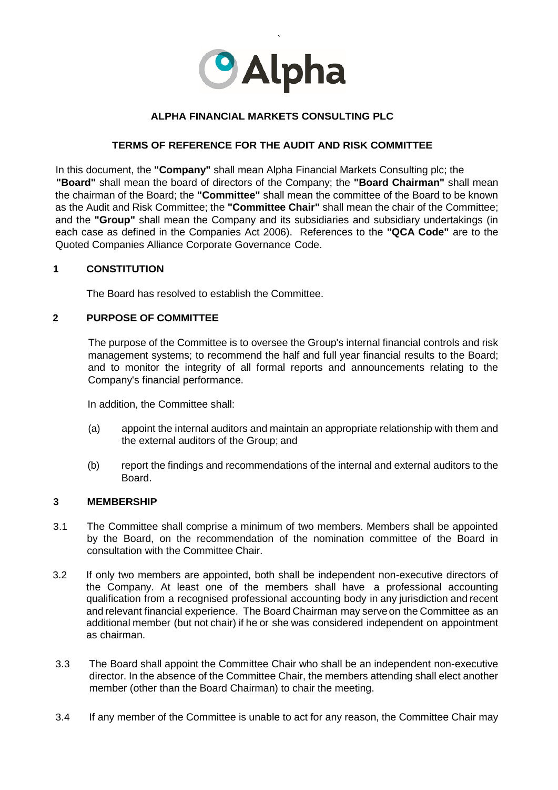

## **ALPHA FINANCIAL MARKETS CONSULTING PLC**

### **TERMS OF REFERENCE FOR THE AUDIT AND RISK COMMITTEE**

In this document, the **"Company"** shall mean Alpha Financial Markets Consulting plc; the **"Board"** shall mean the board of directors of the Company; the **"Board Chairman"** shall mean the chairman of the Board; the **"Committee"** shall mean the committee of the Board to be known as the Audit and Risk Committee; the **"Committee Chair"** shall mean the chair of the Committee; and the **"Group"** shall mean the Company and its subsidiaries and subsidiary undertakings (in each case as defined in the Companies Act 2006). References to the **"QCA Code"** are to the Quoted Companies Alliance Corporate Governance Code.

### **1 CONSTITUTION**

The Board has resolved to establish the Committee.

### **2 PURPOSE OF COMMITTEE**

The purpose of the Committee is to oversee the Group's internal financial controls and risk management systems; to recommend the half and full year financial results to the Board; and to monitor the integrity of all formal reports and announcements relating to the Company's financial performance.

In addition, the Committee shall:

- (a) appoint the internal auditors and maintain an appropriate relationship with them and the external auditors of the Group; and
- (b) report the findings and recommendations of the internal and external auditors to the **Board**

### **3 MEMBERSHIP**

- 3.1 The Committee shall comprise a minimum of two members. Members shall be appointed by the Board, on the recommendation of the nomination committee of the Board in consultation with the Committee Chair.
- 3.2 If only two members are appointed, both shall be independent non-executive directors of the Company. At least one of the members shall have a professional accounting qualification from a recognised professional accounting body in any jurisdiction and recent and relevant financial experience. The Board Chairman may serve on the Committee as an additional member (but not chair) if he or she was considered independent on appointment as chairman.
- 3.3 The Board shall appoint the Committee Chair who shall be an independent non-executive director. In the absence of the Committee Chair, the members attending shall elect another member (other than the Board Chairman) to chair the meeting.
- 3.4 If any member of the Committee is unable to act for any reason, the Committee Chair may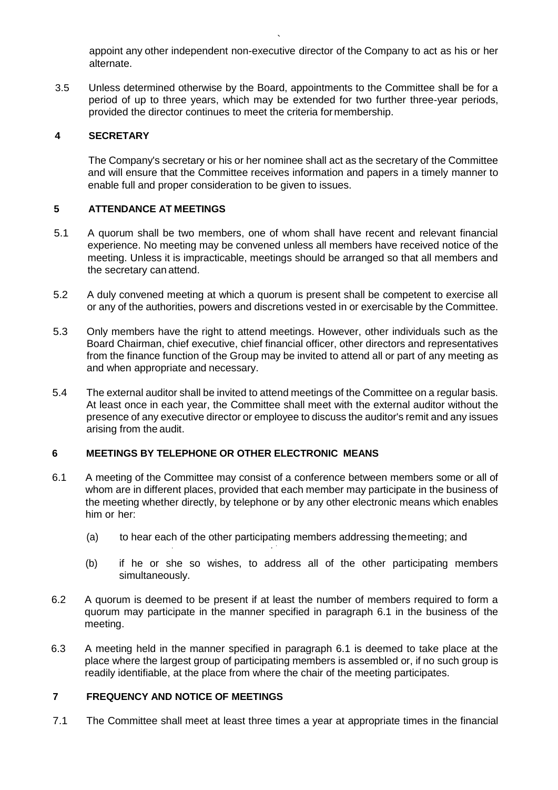appoint any other independent non-executive director of the Company to act as his or her alternate.

3.5 Unless determined otherwise by the Board, appointments to the Committee shall be for a period of up to three years, which may be extended for two further three-year periods, provided the director continues to meet the criteria formembership.

`

## **4 SECRETARY**

The Company's secretary or his or her nominee shall act as the secretary of the Committee and will ensure that the Committee receives information and papers in a timely manner to enable full and proper consideration to be given to issues.

# **5 ATTENDANCE AT MEETINGS**

- 5.1 A quorum shall be two members, one of whom shall have recent and relevant financial experience. No meeting may be convened unless all members have received notice of the meeting. Unless it is impracticable, meetings should be arranged so that all members and the secretary can attend.
- 5.2 A duly convened meeting at which a quorum is present shall be competent to exercise all or any of the authorities, powers and discretions vested in or exercisable by the Committee.
- 5.3 Only members have the right to attend meetings. However, other individuals such as the Board Chairman, chief executive, chief financial officer, other directors and representatives from the finance function of the Group may be invited to attend all or part of any meeting as and when appropriate and necessary.
- 5.4 The external auditor shall be invited to attend meetings of the Committee on a regular basis. At least once in each year, the Committee shall meet with the external auditor without the presence of any executive director or employee to discuss the auditor's remit and any issues arising from the audit.

### **6 MEETINGS BY TELEPHONE OR OTHER ELECTRONIC MEANS**

- 6.1 A meeting of the Committee may consist of a conference between members some or all of whom are in different places, provided that each member may participate in the business of the meeting whether directly, by telephone or by any other electronic means which enables him or her:
	- (a) to hear each of the other participating members addressing themeeting; and . . '
	- (b) if he or she so wishes, to address all of the other participating members simultaneously.
- 6.2 A quorum is deemed to be present if at least the number of members required to form a quorum may participate in the manner specified in paragraph 6.1 in the business of the meeting.
- 6.3 A meeting held in the manner specified in paragraph 6.1 is deemed to take place at the place where the largest group of participating members is assembled or, if no such group is readily identifiable, at the place from where the chair of the meeting participates.

# **7 FREQUENCY AND NOTICE OF MEETINGS**

7.1 The Committee shall meet at least three times a year at appropriate times in the financial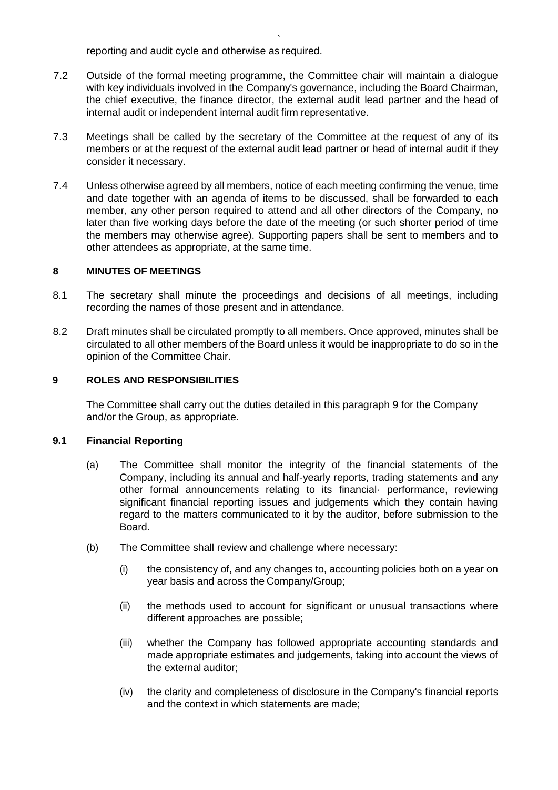reporting and audit cycle and otherwise as required.

7.2 Outside of the formal meeting programme, the Committee chair will maintain a dialogue with key individuals involved in the Company's governance, including the Board Chairman, the chief executive, the finance director, the external audit lead partner and the head of internal audit or independent internal audit firm representative.

`

- 7.3 Meetings shall be called by the secretary of the Committee at the request of any of its members or at the request of the external audit lead partner or head of internal audit if they consider it necessary.
- 7.4 Unless otherwise agreed by all members, notice of each meeting confirming the venue, time and date together with an agenda of items to be discussed, shall be forwarded to each member, any other person required to attend and all other directors of the Company, no later than five working days before the date of the meeting (or such shorter period of time the members may otherwise agree). Supporting papers shall be sent to members and to other attendees as appropriate, at the same time.

### **8 MINUTES OF MEETINGS**

- 8.1 The secretary shall minute the proceedings and decisions of all meetings, including recording the names of those present and in attendance.
- 8.2 Draft minutes shall be circulated promptly to all members. Once approved, minutes shall be circulated to all other members of the Board unless it would be inappropriate to do so in the opinion of the Committee Chair.

### **9 ROLES AND RESPONSIBILITIES**

The Committee shall carry out the duties detailed in this paragraph 9 for the Company and/or the Group, as appropriate.

### **9.1 Financial Reporting**

- (a) The Committee shall monitor the integrity of the financial statements of the Company, including its annual and half-yearly reports, trading statements and any other formal announcements relating to its financial· performance, reviewing significant financial reporting issues and judgements which they contain having regard to the matters communicated to it by the auditor, before submission to the Board.
- (b) The Committee shall review and challenge where necessary:
	- (i) the consistency of, and any changes to, accounting policies both on a year on year basis and across the Company/Group;
	- (ii) the methods used to account for significant or unusual transactions where different approaches are possible;
	- (iii) whether the Company has followed appropriate accounting standards and made appropriate estimates and judgements, taking into account the views of the external auditor;
	- (iv) the clarity and completeness of disclosure in the Company's financial reports and the context in which statements are made;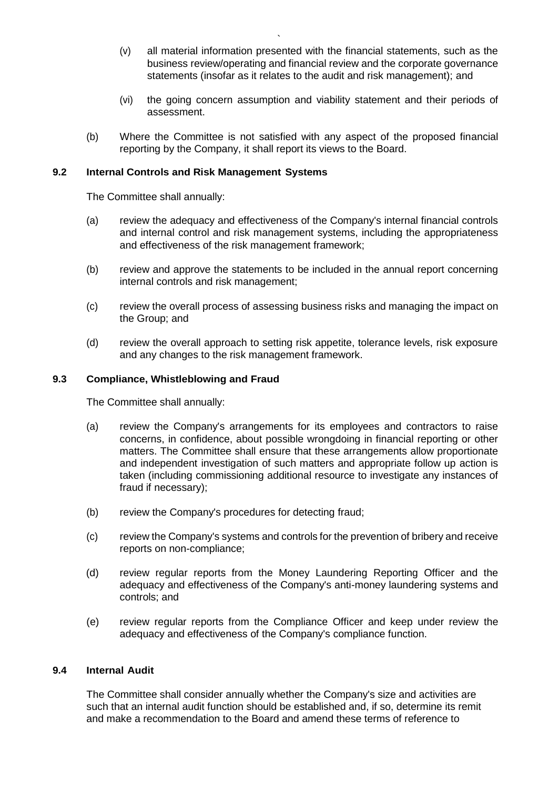- (v) all material information presented with the financial statements, such as the business review/operating and financial review and the corporate governance statements (insofar as it relates to the audit and risk management); and
- (vi) the going concern assumption and viability statement and their periods of assessment.
- (b) Where the Committee is not satisfied with any aspect of the proposed financial reporting by the Company, it shall report its views to the Board.

### **9.2 Internal Controls and Risk Management Systems**

The Committee shall annually:

- (a) review the adequacy and effectiveness of the Company's internal financial controls and internal control and risk management systems, including the appropriateness and effectiveness of the risk management framework;
- (b) review and approve the statements to be included in the annual report concerning internal controls and risk management;
- (c) review the overall process of assessing business risks and managing the impact on the Group; and
- (d) review the overall approach to setting risk appetite, tolerance levels, risk exposure and any changes to the risk management framework.

### **9.3 Compliance, Whistleblowing and Fraud**

The Committee shall annually:

- (a) review the Company's arrangements for its employees and contractors to raise concerns, in confidence, about possible wrongdoing in financial reporting or other matters. The Committee shall ensure that these arrangements allow proportionate and independent investigation of such matters and appropriate follow up action is taken (including commissioning additional resource to investigate any instances of fraud if necessary);
- (b) review the Company's procedures for detecting fraud;
- (c) review the Company's systems and controls for the prevention of bribery and receive reports on non-compliance;
- (d) review regular reports from the Money Laundering Reporting Officer and the adequacy and effectiveness of the Company's anti-money laundering systems and controls; and
- (e) review regular reports from the Compliance Officer and keep under review the adequacy and effectiveness of the Company's compliance function.

### **9.4 Internal Audit**

The Committee shall consider annually whether the Company's size and activities are such that an internal audit function should be established and, if so, determine its remit and make a recommendation to the Board and amend these terms of reference to

`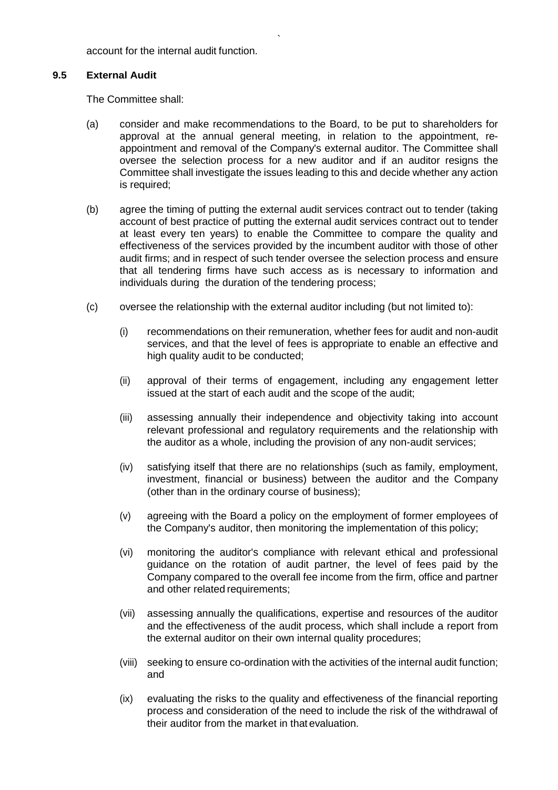account for the internal audit function.

### **9.5 External Audit**

The Committee shall:

(a) consider and make recommendations to the Board, to be put to shareholders for approval at the annual general meeting, in relation to the appointment, reappointment and removal of the Company's external auditor. The Committee shall oversee the selection process for a new auditor and if an auditor resigns the Committee shall investigate the issues leading to this and decide whether any action is required;

`

- (b) agree the timing of putting the external audit services contract out to tender (taking account of best practice of putting the external audit services contract out to tender at least every ten years) to enable the Committee to compare the quality and effectiveness of the services provided by the incumbent auditor with those of other audit firms; and in respect of such tender oversee the selection process and ensure that all tendering firms have such access as is necessary to information and individuals during the duration of the tendering process;
- (c) oversee the relationship with the external auditor including (but not limited to):
	- (i) recommendations on their remuneration, whether fees for audit and non-audit services, and that the level of fees is appropriate to enable an effective and high quality audit to be conducted:
	- (ii) approval of their terms of engagement, including any engagement letter issued at the start of each audit and the scope of the audit;
	- (iii) assessing annually their independence and objectivity taking into account relevant professional and regulatory requirements and the relationship with the auditor as a whole, including the provision of any non-audit services;
	- (iv) satisfying itself that there are no relationships (such as family, employment, investment, financial or business) between the auditor and the Company (other than in the ordinary course of business);
	- (v) agreeing with the Board a policy on the employment of former employees of the Company's auditor, then monitoring the implementation of this policy;
	- (vi) monitoring the auditor's compliance with relevant ethical and professional guidance on the rotation of audit partner, the level of fees paid by the Company compared to the overall fee income from the firm, office and partner and other related requirements;
	- (vii) assessing annually the qualifications, expertise and resources of the auditor and the effectiveness of the audit process, which shall include a report from the external auditor on their own internal quality procedures;
	- (viii) seeking to ensure co-ordination with the activities of the internal audit function; and
	- (ix) evaluating the risks to the quality and effectiveness of the financial reporting process and consideration of the need to include the risk of the withdrawal of their auditor from the market in that evaluation.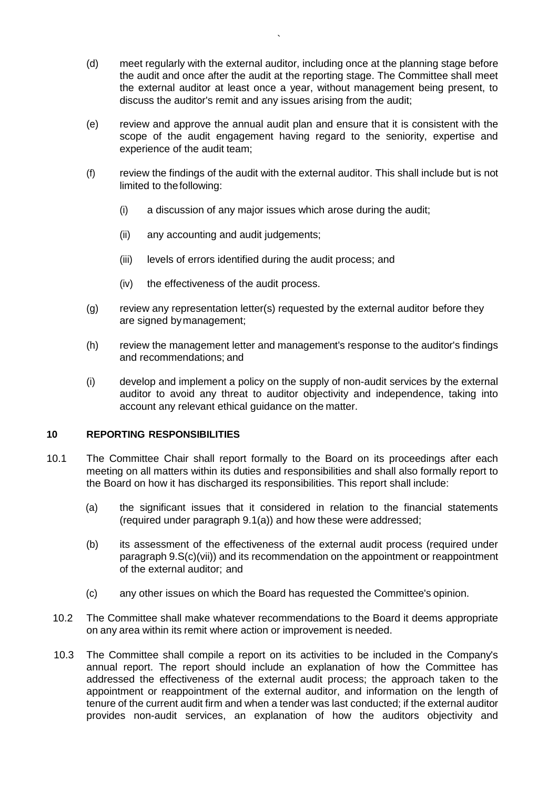- (d) meet regularly with the external auditor, including once at the planning stage before the audit and once after the audit at the reporting stage. The Committee shall meet the external auditor at least once a year, without management being present, to discuss the auditor's remit and any issues arising from the audit;
- (e) review and approve the annual audit plan and ensure that it is consistent with the scope of the audit engagement having regard to the seniority, expertise and experience of the audit team;
- (f) review the findings of the audit with the external auditor. This shall include but is not limited to thefollowing:
	- (i) a discussion of any major issues which arose during the audit;
	- (ii) any accounting and audit judgements;
	- (iii) levels of errors identified during the audit process; and
	- (iv) the effectiveness of the audit process.
- (g) review any representation letter(s) requested by the external auditor before they are signed bymanagement;
- (h) review the management letter and management's response to the auditor's findings and recommendations; and
- (i) develop and implement a policy on the supply of non-audit services by the external auditor to avoid any threat to auditor objectivity and independence, taking into account any relevant ethical guidance on the matter.

### **10 REPORTING RESPONSIBILITIES**

- 10.1 The Committee Chair shall report formally to the Board on its proceedings after each meeting on all matters within its duties and responsibilities and shall also formally report to the Board on how it has discharged its responsibilities. This report shall include:
	- (a) the significant issues that it considered in relation to the financial statements (required under paragraph 9.1(a)) and how these were addressed;
	- (b) its assessment of the effectiveness of the external audit process (required under paragraph 9.S(c)(vii)) and its recommendation on the appointment or reappointment of the external auditor; and
	- (c) any other issues on which the Board has requested the Committee's opinion.
	- 10.2 The Committee shall make whatever recommendations to the Board it deems appropriate on any area within its remit where action or improvement is needed.
	- 10.3 The Committee shall compile a report on its activities to be included in the Company's annual report. The report should include an explanation of how the Committee has addressed the effectiveness of the external audit process; the approach taken to the appointment or reappointment of the external auditor, and information on the length of tenure of the current audit firm and when a tender was last conducted; if the external auditor provides non-audit services, an explanation of how the auditors objectivity and